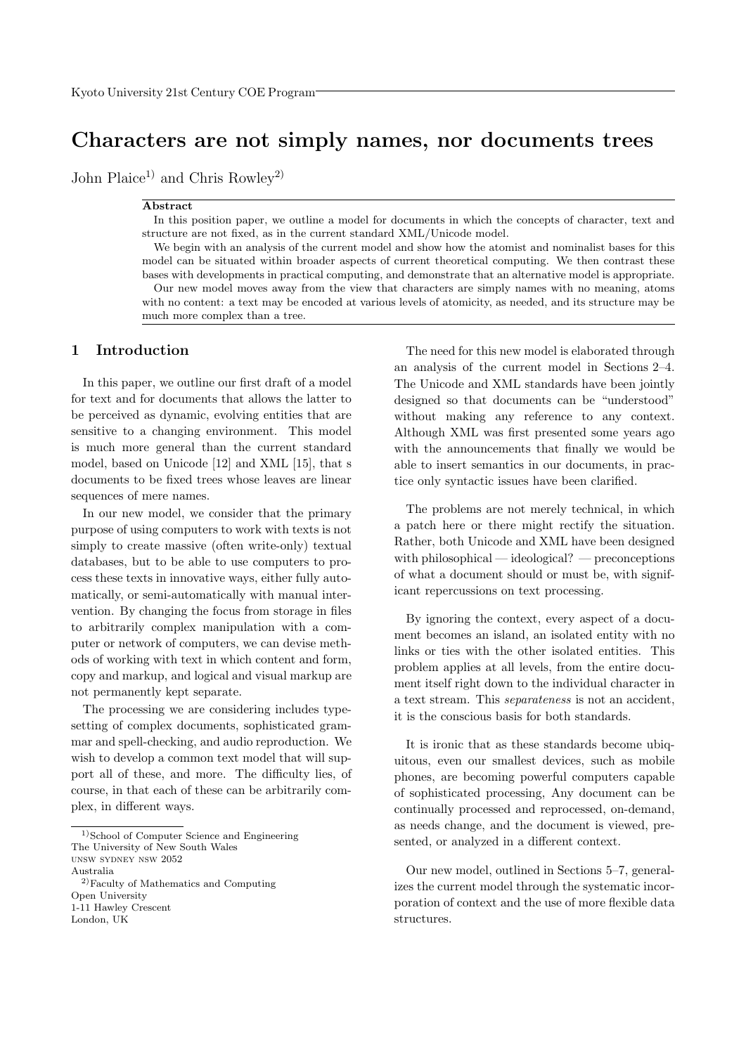# Characters are not simply names, nor documents trees

John Plaice<sup>1)</sup> and Chris Rowley<sup>2)</sup>

#### Abstract

In this position paper, we outline a model for documents in which the concepts of character, text and structure are not fixed, as in the current standard XML/Unicode model.

We begin with an analysis of the current model and show how the atomist and nominalist bases for this model can be situated within broader aspects of current theoretical computing. We then contrast these bases with developments in practical computing, and demonstrate that an alternative model is appropriate. Our new model moves away from the view that characters are simply names with no meaning, atoms with no content: a text may be encoded at various levels of atomicity, as needed, and its structure may be much more complex than a tree.

#### 1 Introduction

In this paper, we outline our first draft of a model for text and for documents that allows the latter to be perceived as dynamic, evolving entities that are sensitive to a changing environment. This model is much more general than the current standard model, based on Unicode [12] and XML [15], that s documents to be fixed trees whose leaves are linear sequences of mere names.

In our new model, we consider that the primary purpose of using computers to work with texts is not simply to create massive (often write-only) textual databases, but to be able to use computers to process these texts in innovative ways, either fully automatically, or semi-automatically with manual intervention. By changing the focus from storage in files to arbitrarily complex manipulation with a computer or network of computers, we can devise methods of working with text in which content and form, copy and markup, and logical and visual markup are not permanently kept separate.

The processing we are considering includes typesetting of complex documents, sophisticated grammar and spell-checking, and audio reproduction. We wish to develop a common text model that will support all of these, and more. The difficulty lies, of course, in that each of these can be arbitrarily complex, in different ways.

Australia

The need for this new model is elaborated through an analysis of the current model in Sections 2–4. The Unicode and XML standards have been jointly designed so that documents can be "understood" without making any reference to any context. Although XML was first presented some years ago with the announcements that finally we would be able to insert semantics in our documents, in practice only syntactic issues have been clarified.

The problems are not merely technical, in which a patch here or there might rectify the situation. Rather, both Unicode and XML have been designed with philosophical — ideological? — preconceptions of what a document should or must be, with significant repercussions on text processing.

By ignoring the context, every aspect of a document becomes an island, an isolated entity with no links or ties with the other isolated entities. This problem applies at all levels, from the entire document itself right down to the individual character in a text stream. This separateness is not an accident, it is the conscious basis for both standards.

It is ironic that as these standards become ubiquitous, even our smallest devices, such as mobile phones, are becoming powerful computers capable of sophisticated processing, Any document can be continually processed and reprocessed, on-demand, as needs change, and the document is viewed, presented, or analyzed in a different context.

Our new model, outlined in Sections 5–7, generalizes the current model through the systematic incorporation of context and the use of more flexible data structures.

 $^{1)}\rm{School}$  of Computer Science and Engineering The University of New South Wales unsw sydney nsw 2052

<sup>2)</sup>Faculty of Mathematics and Computing Open University 1-11 Hawley Crescent

London, UK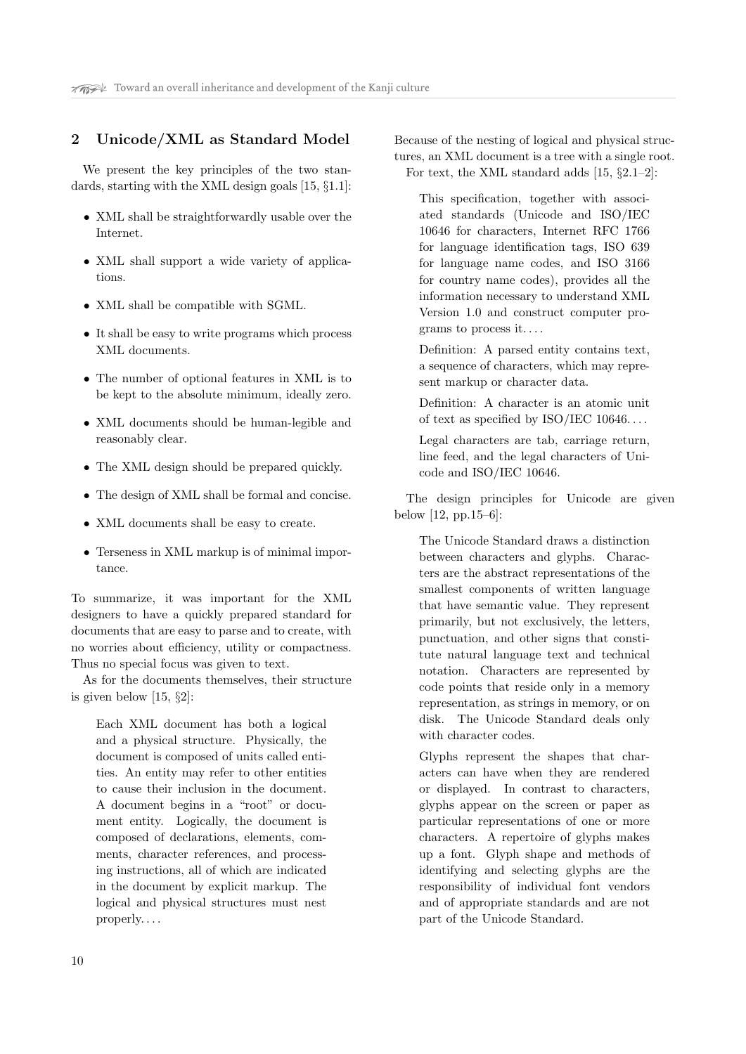#### 2 Unicode/XML as Standard Model

We present the key principles of the two standards, starting with the XML design goals [15, §1.1]:

- XML shall be straightforwardly usable over the Internet.
- XML shall support a wide variety of applications.
- XML shall be compatible with SGML.
- It shall be easy to write programs which process XML documents.
- The number of optional features in XML is to be kept to the absolute minimum, ideally zero.
- XML documents should be human-legible and reasonably clear.
- The XML design should be prepared quickly.
- The design of XML shall be formal and concise.
- XML documents shall be easy to create.
- Terseness in XML markup is of minimal importance.

To summarize, it was important for the XML designers to have a quickly prepared standard for documents that are easy to parse and to create, with no worries about efficiency, utility or compactness. Thus no special focus was given to text.

As for the documents themselves, their structure is given below [15, §2]:

Each XML document has both a logical and a physical structure. Physically, the document is composed of units called entities. An entity may refer to other entities to cause their inclusion in the document. A document begins in a "root" or document entity. Logically, the document is composed of declarations, elements, comments, character references, and processing instructions, all of which are indicated in the document by explicit markup. The logical and physical structures must nest properly. . . .

Because of the nesting of logical and physical structures, an XML document is a tree with a single root. For text, the XML standard adds [15, §2.1–2]:

This specification, together with associated standards (Unicode and ISO/IEC 10646 for characters, Internet RFC 1766 for language identification tags, ISO 639 for language name codes, and ISO 3166 for country name codes), provides all the information necessary to understand XML Version 1.0 and construct computer programs to process it. . . .

Definition: A parsed entity contains text, a sequence of characters, which may represent markup or character data.

Definition: A character is an atomic unit of text as specified by ISO/IEC 10646. . . .

Legal characters are tab, carriage return, line feed, and the legal characters of Unicode and ISO/IEC 10646.

The design principles for Unicode are given below [12, pp.15–6]:

The Unicode Standard draws a distinction between characters and glyphs. Characters are the abstract representations of the smallest components of written language that have semantic value. They represent primarily, but not exclusively, the letters, punctuation, and other signs that constitute natural language text and technical notation. Characters are represented by code points that reside only in a memory representation, as strings in memory, or on disk. The Unicode Standard deals only with character codes.

Glyphs represent the shapes that characters can have when they are rendered or displayed. In contrast to characters, glyphs appear on the screen or paper as particular representations of one or more characters. A repertoire of glyphs makes up a font. Glyph shape and methods of identifying and selecting glyphs are the responsibility of individual font vendors and of appropriate standards and are not part of the Unicode Standard.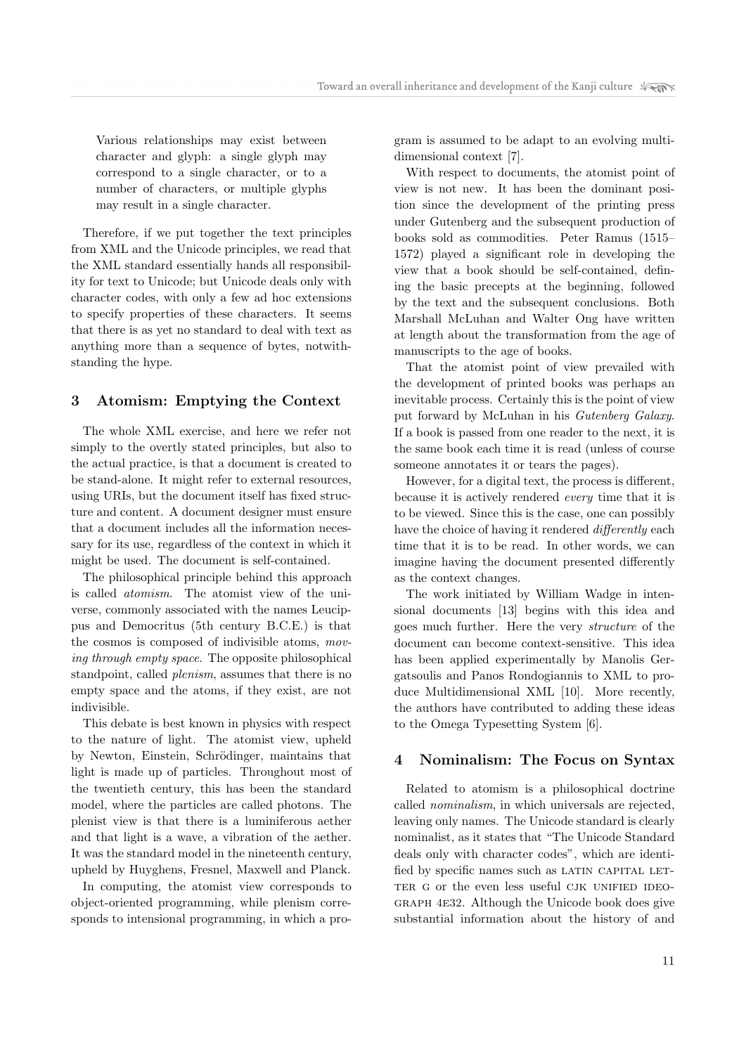Various relationships may exist between character and glyph: a single glyph may correspond to a single character, or to a number of characters, or multiple glyphs may result in a single character.

Therefore, if we put together the text principles from XML and the Unicode principles, we read that the XML standard essentially hands all responsibility for text to Unicode; but Unicode deals only with character codes, with only a few ad hoc extensions to specify properties of these characters. It seems that there is as yet no standard to deal with text as anything more than a sequence of bytes, notwithstanding the hype.

## 3 Atomism: Emptying the Context

The whole XML exercise, and here we refer not simply to the overtly stated principles, but also to the actual practice, is that a document is created to be stand-alone. It might refer to external resources, using URIs, but the document itself has fixed structure and content. A document designer must ensure that a document includes all the information necessary for its use, regardless of the context in which it might be used. The document is self-contained.

The philosophical principle behind this approach is called atomism. The atomist view of the universe, commonly associated with the names Leucippus and Democritus (5th century B.C.E.) is that the cosmos is composed of indivisible atoms, moving through empty space. The opposite philosophical standpoint, called plenism, assumes that there is no empty space and the atoms, if they exist, are not indivisible.

This debate is best known in physics with respect to the nature of light. The atomist view, upheld by Newton, Einstein, Schrödinger, maintains that light is made up of particles. Throughout most of the twentieth century, this has been the standard model, where the particles are called photons. The plenist view is that there is a luminiferous aether and that light is a wave, a vibration of the aether. It was the standard model in the nineteenth century, upheld by Huyghens, Fresnel, Maxwell and Planck.

In computing, the atomist view corresponds to object-oriented programming, while plenism corresponds to intensional programming, in which a program is assumed to be adapt to an evolving multidimensional context [7].

With respect to documents, the atomist point of view is not new. It has been the dominant position since the development of the printing press under Gutenberg and the subsequent production of books sold as commodities. Peter Ramus (1515– 1572) played a significant role in developing the view that a book should be self-contained, defining the basic precepts at the beginning, followed by the text and the subsequent conclusions. Both Marshall McLuhan and Walter Ong have written at length about the transformation from the age of manuscripts to the age of books.

That the atomist point of view prevailed with the development of printed books was perhaps an inevitable process. Certainly this is the point of view put forward by McLuhan in his Gutenberg Galaxy. If a book is passed from one reader to the next, it is the same book each time it is read (unless of course someone annotates it or tears the pages).

However, for a digital text, the process is different, because it is actively rendered every time that it is to be viewed. Since this is the case, one can possibly have the choice of having it rendered *differently* each time that it is to be read. In other words, we can imagine having the document presented differently as the context changes.

The work initiated by William Wadge in intensional documents [13] begins with this idea and goes much further. Here the very structure of the document can become context-sensitive. This idea has been applied experimentally by Manolis Gergatsoulis and Panos Rondogiannis to XML to produce Multidimensional XML [10]. More recently, the authors have contributed to adding these ideas to the Omega Typesetting System [6].

#### 4 Nominalism: The Focus on Syntax

Related to atomism is a philosophical doctrine called nominalism, in which universals are rejected, leaving only names. The Unicode standard is clearly nominalist, as it states that "The Unicode Standard deals only with character codes", which are identified by specific names such as LATIN CAPITAL LET-TER G or the even less useful CJK UNIFIED IDEOgraph 4e32. Although the Unicode book does give substantial information about the history of and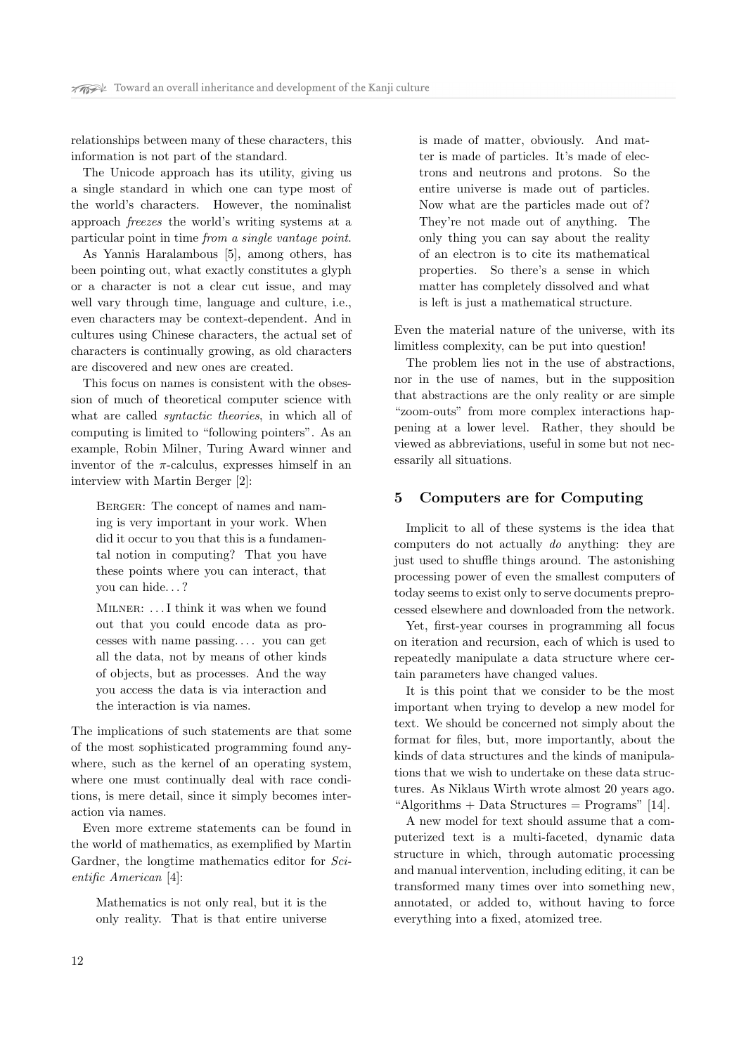relationships between many of these characters, this information is not part of the standard.

The Unicode approach has its utility, giving us a single standard in which one can type most of the world's characters. However, the nominalist approach freezes the world's writing systems at a particular point in time from a single vantage point.

As Yannis Haralambous [5], among others, has been pointing out, what exactly constitutes a glyph or a character is not a clear cut issue, and may well vary through time, language and culture, i.e., even characters may be context-dependent. And in cultures using Chinese characters, the actual set of characters is continually growing, as old characters are discovered and new ones are created.

This focus on names is consistent with the obsession of much of theoretical computer science with what are called syntactic theories, in which all of computing is limited to "following pointers". As an example, Robin Milner, Turing Award winner and inventor of the  $\pi$ -calculus, expresses himself in an interview with Martin Berger [2]:

BERGER: The concept of names and naming is very important in your work. When did it occur to you that this is a fundamental notion in computing? That you have these points where you can interact, that you can hide. . . ?

MILNER: ... I think it was when we found out that you could encode data as processes with name passing. . . . you can get all the data, not by means of other kinds of objects, but as processes. And the way you access the data is via interaction and the interaction is via names.

The implications of such statements are that some of the most sophisticated programming found anywhere, such as the kernel of an operating system, where one must continually deal with race conditions, is mere detail, since it simply becomes interaction via names.

Even more extreme statements can be found in the world of mathematics, as exemplified by Martin Gardner, the longtime mathematics editor for Scientific American [4]:

Mathematics is not only real, but it is the only reality. That is that entire universe

is made of matter, obviously. And matter is made of particles. It's made of electrons and neutrons and protons. So the entire universe is made out of particles. Now what are the particles made out of? They're not made out of anything. The only thing you can say about the reality of an electron is to cite its mathematical properties. So there's a sense in which matter has completely dissolved and what is left is just a mathematical structure.

Even the material nature of the universe, with its limitless complexity, can be put into question!

The problem lies not in the use of abstractions, nor in the use of names, but in the supposition that abstractions are the only reality or are simple "zoom-outs" from more complex interactions happening at a lower level. Rather, they should be viewed as abbreviations, useful in some but not necessarily all situations.

## 5 Computers are for Computing

Implicit to all of these systems is the idea that computers do not actually do anything: they are just used to shuffle things around. The astonishing processing power of even the smallest computers of today seems to exist only to serve documents preprocessed elsewhere and downloaded from the network.

Yet, first-year courses in programming all focus on iteration and recursion, each of which is used to repeatedly manipulate a data structure where certain parameters have changed values.

It is this point that we consider to be the most important when trying to develop a new model for text. We should be concerned not simply about the format for files, but, more importantly, about the kinds of data structures and the kinds of manipulations that we wish to undertake on these data structures. As Niklaus Wirth wrote almost 20 years ago. "Algorithms  $+$  Data Structures  $=$  Programs" [14].

A new model for text should assume that a computerized text is a multi-faceted, dynamic data structure in which, through automatic processing and manual intervention, including editing, it can be transformed many times over into something new, annotated, or added to, without having to force everything into a fixed, atomized tree.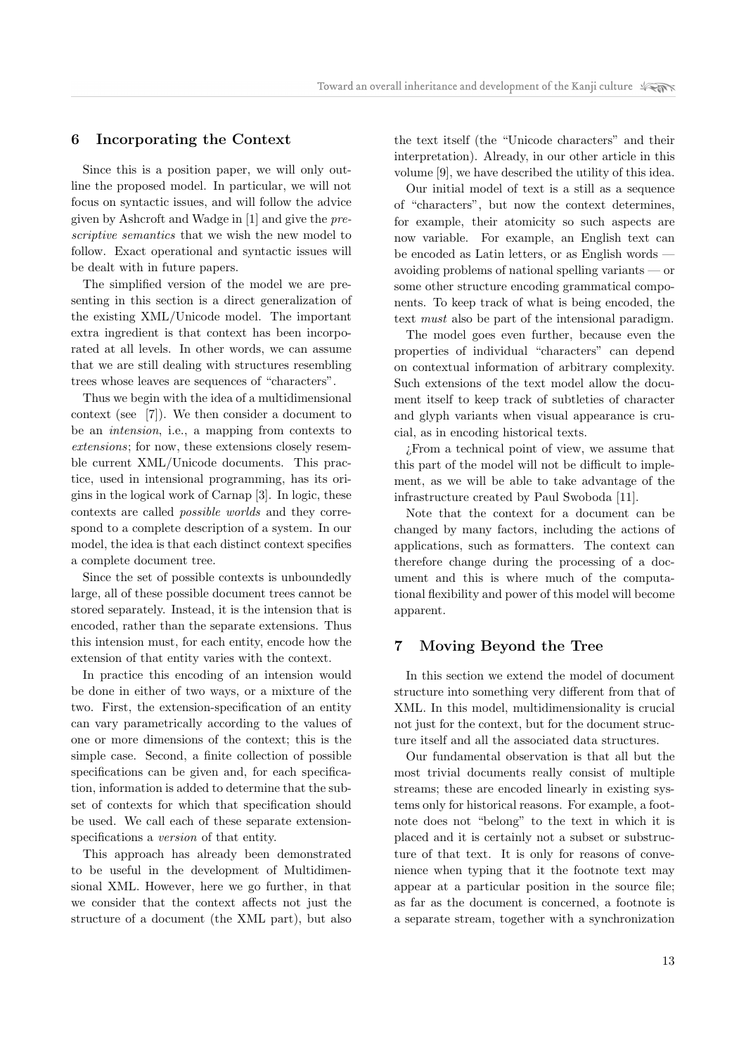#### 6 Incorporating the Context

Since this is a position paper, we will only outline the proposed model. In particular, we will not focus on syntactic issues, and will follow the advice given by Ashcroft and Wadge in [1] and give the prescriptive semantics that we wish the new model to follow. Exact operational and syntactic issues will be dealt with in future papers.

The simplified version of the model we are presenting in this section is a direct generalization of the existing XML/Unicode model. The important extra ingredient is that context has been incorporated at all levels. In other words, we can assume that we are still dealing with structures resembling trees whose leaves are sequences of "characters".

Thus we begin with the idea of a multidimensional context (see [7]). We then consider a document to be an intension, i.e., a mapping from contexts to extensions; for now, these extensions closely resemble current XML/Unicode documents. This practice, used in intensional programming, has its origins in the logical work of Carnap [3]. In logic, these contexts are called possible worlds and they correspond to a complete description of a system. In our model, the idea is that each distinct context specifies a complete document tree.

Since the set of possible contexts is unboundedly large, all of these possible document trees cannot be stored separately. Instead, it is the intension that is encoded, rather than the separate extensions. Thus this intension must, for each entity, encode how the extension of that entity varies with the context.

In practice this encoding of an intension would be done in either of two ways, or a mixture of the two. First, the extension-specification of an entity can vary parametrically according to the values of one or more dimensions of the context; this is the simple case. Second, a finite collection of possible specifications can be given and, for each specification, information is added to determine that the subset of contexts for which that specification should be used. We call each of these separate extensionspecifications a version of that entity.

This approach has already been demonstrated to be useful in the development of Multidimensional XML. However, here we go further, in that we consider that the context affects not just the structure of a document (the XML part), but also

the text itself (the "Unicode characters" and their interpretation). Already, in our other article in this volume [9], we have described the utility of this idea.

Our initial model of text is a still as a sequence of "characters", but now the context determines, for example, their atomicity so such aspects are now variable. For example, an English text can be encoded as Latin letters, or as English words avoiding problems of national spelling variants — or some other structure encoding grammatical components. To keep track of what is being encoded, the text must also be part of the intensional paradigm.

The model goes even further, because even the properties of individual "characters" can depend on contextual information of arbitrary complexity. Such extensions of the text model allow the document itself to keep track of subtleties of character and glyph variants when visual appearance is crucial, as in encoding historical texts.

¿From a technical point of view, we assume that this part of the model will not be difficult to implement, as we will be able to take advantage of the infrastructure created by Paul Swoboda [11].

Note that the context for a document can be changed by many factors, including the actions of applications, such as formatters. The context can therefore change during the processing of a document and this is where much of the computational flexibility and power of this model will become apparent.

## 7 Moving Beyond the Tree

In this section we extend the model of document structure into something very different from that of XML. In this model, multidimensionality is crucial not just for the context, but for the document structure itself and all the associated data structures.

Our fundamental observation is that all but the most trivial documents really consist of multiple streams; these are encoded linearly in existing systems only for historical reasons. For example, a footnote does not "belong" to the text in which it is placed and it is certainly not a subset or substructure of that text. It is only for reasons of convenience when typing that it the footnote text may appear at a particular position in the source file; as far as the document is concerned, a footnote is a separate stream, together with a synchronization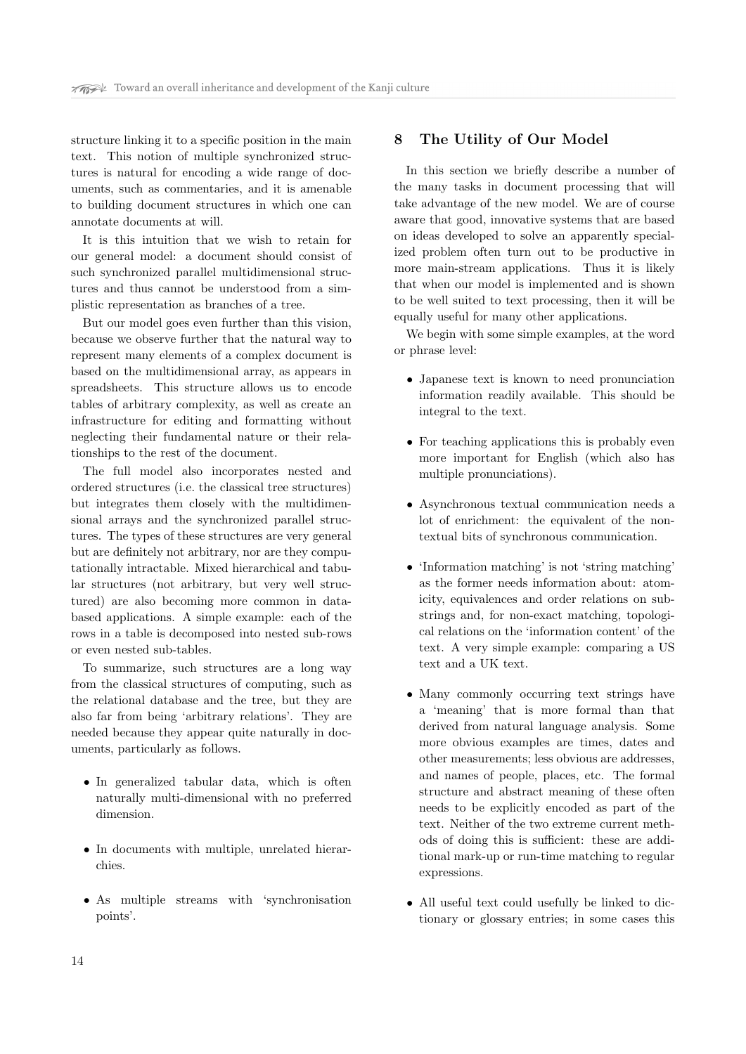structure linking it to a specific position in the main text. This notion of multiple synchronized structures is natural for encoding a wide range of documents, such as commentaries, and it is amenable to building document structures in which one can annotate documents at will.

It is this intuition that we wish to retain for our general model: a document should consist of such synchronized parallel multidimensional structures and thus cannot be understood from a simplistic representation as branches of a tree.

But our model goes even further than this vision, because we observe further that the natural way to represent many elements of a complex document is based on the multidimensional array, as appears in spreadsheets. This structure allows us to encode tables of arbitrary complexity, as well as create an infrastructure for editing and formatting without neglecting their fundamental nature or their relationships to the rest of the document.

The full model also incorporates nested and ordered structures (i.e. the classical tree structures) but integrates them closely with the multidimensional arrays and the synchronized parallel structures. The types of these structures are very general but are definitely not arbitrary, nor are they computationally intractable. Mixed hierarchical and tabular structures (not arbitrary, but very well structured) are also becoming more common in databased applications. A simple example: each of the rows in a table is decomposed into nested sub-rows or even nested sub-tables.

To summarize, such structures are a long way from the classical structures of computing, such as the relational database and the tree, but they are also far from being 'arbitrary relations'. They are needed because they appear quite naturally in documents, particularly as follows.

- In generalized tabular data, which is often naturally multi-dimensional with no preferred dimension.
- In documents with multiple, unrelated hierarchies.
- As multiple streams with 'synchronisation points'.

#### 8 The Utility of Our Model

In this section we briefly describe a number of the many tasks in document processing that will take advantage of the new model. We are of course aware that good, innovative systems that are based on ideas developed to solve an apparently specialized problem often turn out to be productive in more main-stream applications. Thus it is likely that when our model is implemented and is shown to be well suited to text processing, then it will be equally useful for many other applications.

We begin with some simple examples, at the word or phrase level:

- Japanese text is known to need pronunciation information readily available. This should be integral to the text.
- For teaching applications this is probably even more important for English (which also has multiple pronunciations).
- Asynchronous textual communication needs a lot of enrichment: the equivalent of the nontextual bits of synchronous communication.
- 'Information matching' is not 'string matching' as the former needs information about: atomicity, equivalences and order relations on substrings and, for non-exact matching, topological relations on the 'information content' of the text. A very simple example: comparing a US text and a UK text.
- Many commonly occurring text strings have a 'meaning' that is more formal than that derived from natural language analysis. Some more obvious examples are times, dates and other measurements; less obvious are addresses, and names of people, places, etc. The formal structure and abstract meaning of these often needs to be explicitly encoded as part of the text. Neither of the two extreme current methods of doing this is sufficient: these are additional mark-up or run-time matching to regular expressions.
- All useful text could usefully be linked to dictionary or glossary entries; in some cases this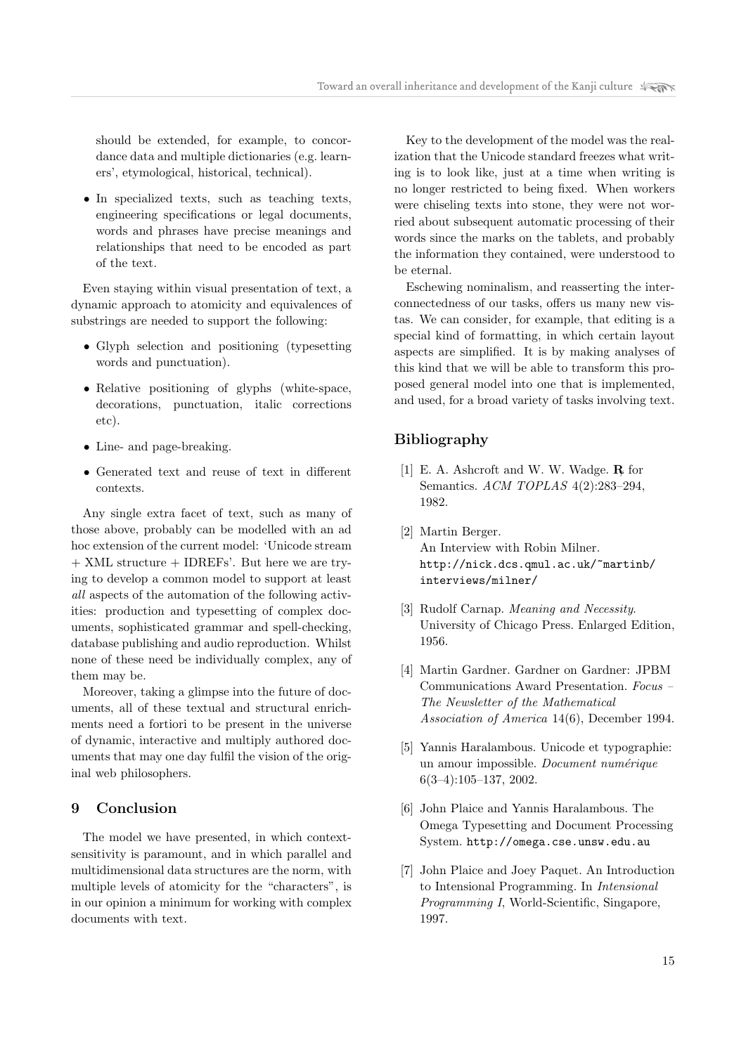should be extended, for example, to concordance data and multiple dictionaries (e.g. learners', etymological, historical, technical).

• In specialized texts, such as teaching texts, engineering specifications or legal documents, words and phrases have precise meanings and relationships that need to be encoded as part of the text.

Even staying within visual presentation of text, a dynamic approach to atomicity and equivalences of substrings are needed to support the following:

- Glyph selection and positioning (typesetting words and punctuation).
- Relative positioning of glyphs (white-space, decorations, punctuation, italic corrections etc).
- Line- and page-breaking.
- Generated text and reuse of text in different contexts.

Any single extra facet of text, such as many of those above, probably can be modelled with an ad hoc extension of the current model: 'Unicode stream + XML structure + IDREFs'. But here we are trying to develop a common model to support at least all aspects of the automation of the following activities: production and typesetting of complex documents, sophisticated grammar and spell-checking, database publishing and audio reproduction. Whilst none of these need be individually complex, any of them may be.

Moreover, taking a glimpse into the future of documents, all of these textual and structural enrichments need a fortiori to be present in the universe of dynamic, interactive and multiply authored documents that may one day fulfil the vision of the original web philosophers.

## 9 Conclusion

The model we have presented, in which contextsensitivity is paramount, and in which parallel and multidimensional data structures are the norm, with multiple levels of atomicity for the "characters", is in our opinion a minimum for working with complex documents with text.

Key to the development of the model was the realization that the Unicode standard freezes what writing is to look like, just at a time when writing is no longer restricted to being fixed. When workers were chiseling texts into stone, they were not worried about subsequent automatic processing of their words since the marks on the tablets, and probably the information they contained, were understood to be eternal.

Eschewing nominalism, and reasserting the interconnectedness of our tasks, offers us many new vistas. We can consider, for example, that editing is a special kind of formatting, in which certain layout aspects are simplified. It is by making analyses of this kind that we will be able to transform this proposed general model into one that is implemented, and used, for a broad variety of tasks involving text.

## Bibliography

- [1] E. A. Ashcroft and W. W. Wadge.  $\mathbf{R}$  for Semantics. ACM TOPLAS 4(2):283–294, 1982.
- [2] Martin Berger. An Interview with Robin Milner. http://nick.dcs.qmul.ac.uk/~martinb/ interviews/milner/
- [3] Rudolf Carnap. Meaning and Necessity. University of Chicago Press. Enlarged Edition, 1956.
- [4] Martin Gardner. Gardner on Gardner: JPBM Communications Award Presentation. Focus – The Newsletter of the Mathematical Association of America 14(6), December 1994.
- [5] Yannis Haralambous. Unicode et typographie: un amour impossible. Document numérique 6(3–4):105–137, 2002.
- [6] John Plaice and Yannis Haralambous. The Omega Typesetting and Document Processing System. http://omega.cse.unsw.edu.au
- [7] John Plaice and Joey Paquet. An Introduction to Intensional Programming. In Intensional Programming I, World-Scientific, Singapore, 1997.